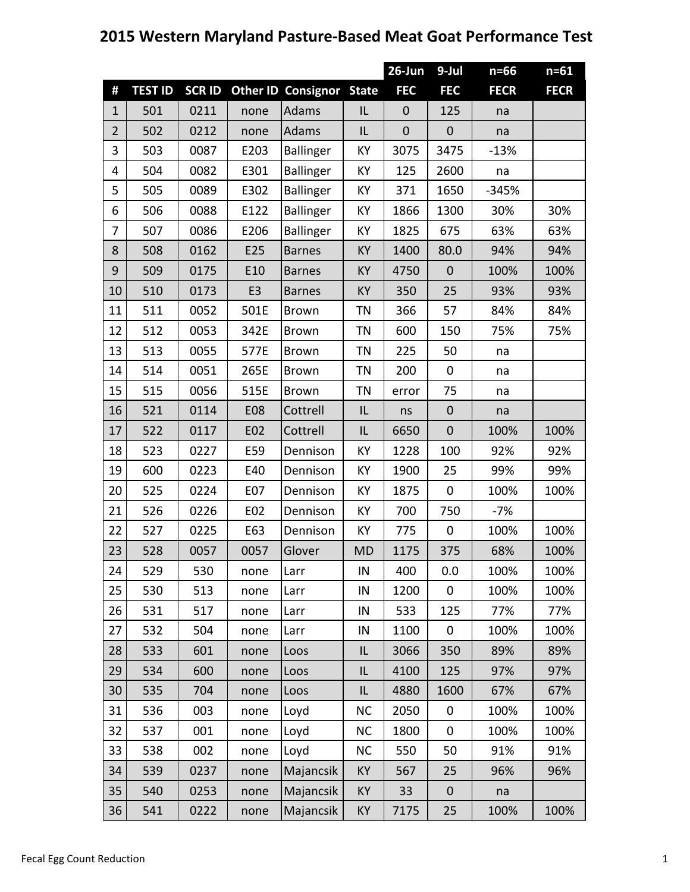## **2015 Western Maryland Pasture‐Based Meat Goat Performance Test**

|                |                |              |                |                           |              | 26-Jun      | 9-Jul        | $n=66$      | $n=61$      |
|----------------|----------------|--------------|----------------|---------------------------|--------------|-------------|--------------|-------------|-------------|
| #              | <b>TEST ID</b> | <b>SCRID</b> |                | <b>Other ID Consignor</b> | <b>State</b> | <b>FEC</b>  | <b>FEC</b>   | <b>FECR</b> | <b>FECR</b> |
| $\mathbf{1}$   | 501            | 0211         | none           | Adams                     | IL           | $\mathbf 0$ | 125          | na          |             |
| $\overline{2}$ | 502            | 0212         | none           | Adams                     | IL           | $\mathbf 0$ | $\mathbf{0}$ | na          |             |
| 3              | 503            | 0087         | E203           | <b>Ballinger</b>          | KY           | 3075        | 3475         | $-13%$      |             |
| 4              | 504            | 0082         | E301           | <b>Ballinger</b>          | KY           | 125         | 2600         | na          |             |
| 5              | 505            | 0089         | E302           | <b>Ballinger</b>          | KY           | 371         | 1650         | $-345%$     |             |
| 6              | 506            | 0088         | E122           | <b>Ballinger</b>          | KY           | 1866        | 1300         | 30%         | 30%         |
| $\overline{7}$ | 507            | 0086         | E206           | <b>Ballinger</b>          | KY           | 1825        | 675          | 63%         | 63%         |
| 8              | 508            | 0162         | E25            | <b>Barnes</b>             | KY           | 1400        | 80.0         | 94%         | 94%         |
| 9              | 509            | 0175         | E10            | <b>Barnes</b>             | KY           | 4750        | $\mathbf{0}$ | 100%        | 100%        |
| 10             | 510            | 0173         | E <sub>3</sub> | <b>Barnes</b>             | KY           | 350         | 25           | 93%         | 93%         |
| 11             | 511            | 0052         | 501E           | <b>Brown</b>              | ΤN           | 366         | 57           | 84%         | 84%         |
| 12             | 512            | 0053         | 342E           | <b>Brown</b>              | TN           | 600         | 150          | 75%         | 75%         |
| 13             | 513            | 0055         | 577E           | <b>Brown</b>              | <b>TN</b>    | 225         | 50           | na          |             |
| 14             | 514            | 0051         | 265E           | <b>Brown</b>              | <b>TN</b>    | 200         | $\mathbf 0$  | na          |             |
| 15             | 515            | 0056         | 515E           | <b>Brown</b>              | <b>TN</b>    | error       | 75           | na          |             |
| 16             | 521            | 0114         | <b>E08</b>     | Cottrell                  | IL           | ns          | $\mathbf 0$  | na          |             |
| 17             | 522            | 0117         | E02            | Cottrell                  | IL           | 6650        | $\mathbf{0}$ | 100%        | 100%        |
| 18             | 523            | 0227         | E59            | Dennison                  | KY           | 1228        | 100          | 92%         | 92%         |
| 19             | 600            | 0223         | E40            | Dennison                  | KY           | 1900        | 25           | 99%         | 99%         |
| 20             | 525            | 0224         | E07            | Dennison                  | KY           | 1875        | $\mathbf 0$  | 100%        | 100%        |
| 21             | 526            | 0226         | E02            | Dennison                  | KY           | 700         | 750          | $-7%$       |             |
| 22             | 527            | 0225         | E63            | Dennison                  | KY           | 775         | $\mathbf 0$  | 100%        | 100%        |
| 23             | 528            | 0057         | 0057           | Glover                    | <b>MD</b>    | 1175        | 375          | 68%         | 100%        |
| 24             | 529            | 530          | none           | Larr                      | IN           | 400         | 0.0          | 100%        | 100%        |
| 25             | 530            | 513          | none           | Larr                      | IN           | 1200        | $\pmb{0}$    | 100%        | 100%        |
| 26             | 531            | 517          | none           | Larr                      | IN           | 533         | 125          | 77%         | 77%         |
| 27             | 532            | 504          | none           | Larr                      | IN           | 1100        | $\mathbf 0$  | 100%        | 100%        |
| 28             | 533            | 601          | none           | Loos                      | IL           | 3066        | 350          | 89%         | 89%         |
| 29             | 534            | 600          | none           | Loos                      | IL           | 4100        | 125          | 97%         | 97%         |
| 30             | 535            | 704          | none           | Loos                      | IL           | 4880        | 1600         | 67%         | 67%         |
| 31             | 536            | 003          | none           | Loyd                      | <b>NC</b>    | 2050        | $\mathbf 0$  | 100%        | 100%        |
| 32             | 537            | 001          | none           | Loyd                      | <b>NC</b>    | 1800        | 0            | 100%        | 100%        |
| 33             | 538            | 002          | none           | Loyd                      | <b>NC</b>    | 550         | 50           | 91%         | 91%         |
| 34             | 539            | 0237         | none           | Majancsik                 | KY           | 567         | 25           | 96%         | 96%         |
| 35             | 540            | 0253         | none           | Majancsik                 | KY           | 33          | $\mathbf 0$  | na          |             |
| 36             | 541            | 0222         | none           | Majancsik                 | KY           | 7175        | 25           | 100%        | 100%        |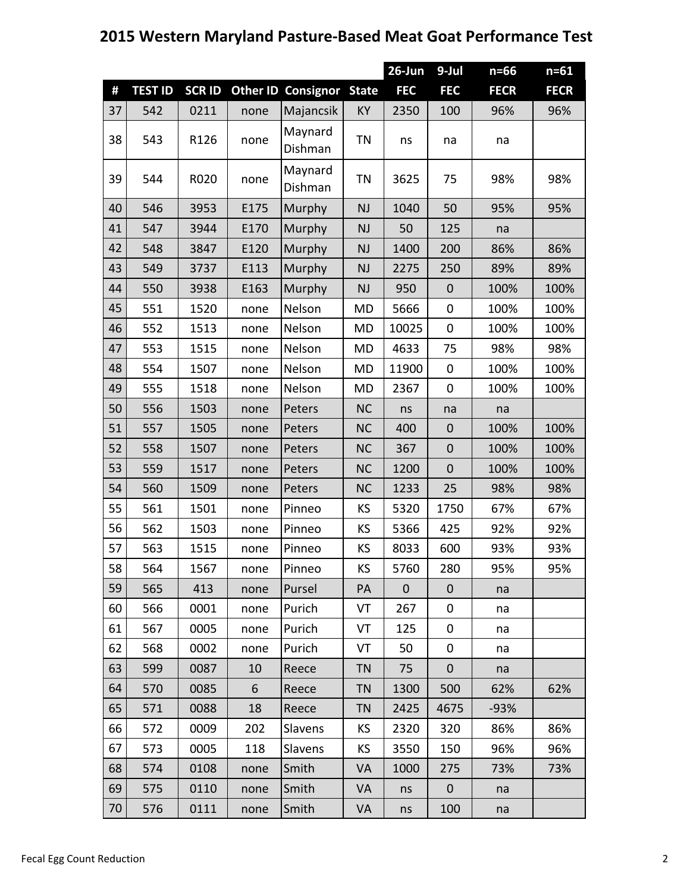## **Western Maryland Pasture‐Based Meat Goat Performance Test**

|    |                |               |      |                           |              | 26-Jun      | 9-Jul            | $n=66$      | $n = 61$    |
|----|----------------|---------------|------|---------------------------|--------------|-------------|------------------|-------------|-------------|
| #  | <b>TEST ID</b> | <b>SCR ID</b> |      | <b>Other ID Consignor</b> | <b>State</b> | <b>FEC</b>  | <b>FEC</b>       | <b>FECR</b> | <b>FECR</b> |
| 37 | 542            | 0211          | none | Majancsik                 | KY           | 2350        | 100              | 96%         | 96%         |
| 38 | 543            | R126          | none | Maynard<br>Dishman        | <b>TN</b>    | ns          | na               | na          |             |
| 39 | 544            | R020          | none | Maynard<br>Dishman        | <b>TN</b>    | 3625        | 75               | 98%         | 98%         |
| 40 | 546            | 3953          | E175 | Murphy                    | <b>NJ</b>    | 1040        | 50               | 95%         | 95%         |
| 41 | 547            | 3944          | E170 | Murphy                    | <b>NJ</b>    | 50          | 125              | na          |             |
| 42 | 548            | 3847          | E120 | Murphy                    | <b>NJ</b>    | 1400        | 200              | 86%         | 86%         |
| 43 | 549            | 3737          | E113 | Murphy                    | <b>NJ</b>    | 2275        | 250              | 89%         | 89%         |
| 44 | 550            | 3938          | E163 | Murphy                    | <b>NJ</b>    | 950         | $\mathbf 0$      | 100%        | 100%        |
| 45 | 551            | 1520          | none | Nelson                    | <b>MD</b>    | 5666        | 0                | 100%        | 100%        |
| 46 | 552            | 1513          | none | Nelson                    | <b>MD</b>    | 10025       | 0                | 100%        | 100%        |
| 47 | 553            | 1515          | none | Nelson                    | <b>MD</b>    | 4633        | 75               | 98%         | 98%         |
| 48 | 554            | 1507          | none | Nelson                    | <b>MD</b>    | 11900       | $\mathbf 0$      | 100%        | 100%        |
| 49 | 555            | 1518          | none | Nelson                    | MD           | 2367        | $\pmb{0}$        | 100%        | 100%        |
| 50 | 556            | 1503          | none | Peters                    | <b>NC</b>    | ns          | na               | na          |             |
| 51 | 557            | 1505          | none | Peters                    | <b>NC</b>    | 400         | $\boldsymbol{0}$ | 100%        | 100%        |
| 52 | 558            | 1507          | none | Peters                    | <b>NC</b>    | 367         | $\boldsymbol{0}$ | 100%        | 100%        |
| 53 | 559            | 1517          | none | Peters                    | <b>NC</b>    | 1200        | $\mathbf 0$      | 100%        | 100%        |
| 54 | 560            | 1509          | none | Peters                    | <b>NC</b>    | 1233        | 25               | 98%         | 98%         |
| 55 | 561            | 1501          | none | Pinneo                    | KS           | 5320        | 1750             | 67%         | 67%         |
| 56 | 562            | 1503          | none | Pinneo                    | KS           | 5366        | 425              | 92%         | 92%         |
| 57 | 563            | 1515          | none | Pinneo                    | KS           | 8033        | 600              | 93%         | 93%         |
| 58 | 564            | 1567          | none | Pinneo                    | KS           | 5760        | 280              | 95%         | 95%         |
| 59 | 565            | 413           | none | Pursel                    | PA           | $\mathbf 0$ | $\mathbf{0}$     | na          |             |
| 60 | 566            | 0001          | none | Purich                    | VT           | 267         | 0                | na          |             |
| 61 | 567            | 0005          | none | Purich                    | VT           | 125         | 0                | na          |             |
| 62 | 568            | 0002          | none | Purich                    | VT           | 50          | 0                | na          |             |
| 63 | 599            | 0087          | 10   | Reece                     | <b>TN</b>    | 75          | $\mathbf 0$      | na          |             |
| 64 | 570            | 0085          | 6    | Reece                     | <b>TN</b>    | 1300        | 500              | 62%         | 62%         |
| 65 | 571            | 0088          | 18   | Reece                     | <b>TN</b>    | 2425        | 4675             | $-93%$      |             |
| 66 | 572            | 0009          | 202  | Slavens                   | KS           | 2320        | 320              | 86%         | 86%         |
| 67 | 573            | 0005          | 118  | Slavens                   | KS           | 3550        | 150              | 96%         | 96%         |
| 68 | 574            | 0108          | none | Smith                     | VA           | 1000        | 275              | 73%         | 73%         |
| 69 | 575            | 0110          | none | Smith                     | <b>VA</b>    | ns          | $\mathbf{0}$     | na          |             |
| 70 | 576            | 0111          | none | Smith                     | VA           | ns          | 100              | na          |             |